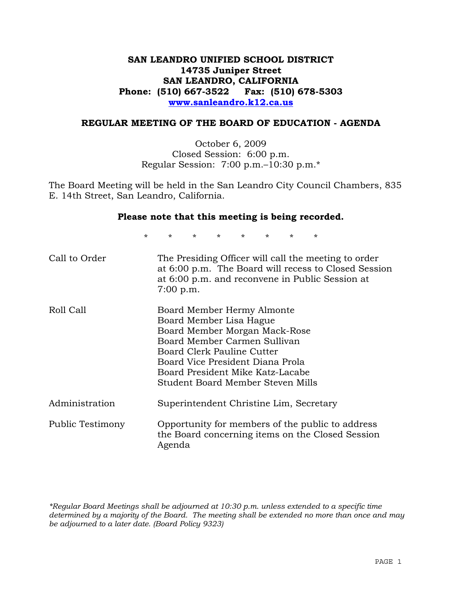# **SAN LEANDRO UNIFIED SCHOOL DISTRICT 14735 Juniper Street SAN LEANDRO, CALIFORNIA Phone: (510) 667-3522 Fax: (510) 678-5303 www.sanleandro.k12.ca.us**

### **REGULAR MEETING OF THE BOARD OF EDUCATION - AGENDA**

October 6, 2009 Closed Session: 6:00 p.m. Regular Session: 7:00 p.m.–10:30 p.m.\*

The Board Meeting will be held in the San Leandro City Council Chambers, 835 E. 14th Street, San Leandro, California.

#### **Please note that this meeting is being recorded.**

\* \* \* \* \* \* \* \*

| Call to Order    | The Presiding Officer will call the meeting to order<br>at 6:00 p.m. The Board will recess to Closed Session<br>at 6:00 p.m. and reconvene in Public Session at<br>$7:00$ p.m.                                                                                    |
|------------------|-------------------------------------------------------------------------------------------------------------------------------------------------------------------------------------------------------------------------------------------------------------------|
| Roll Call        | Board Member Hermy Almonte<br>Board Member Lisa Hague<br>Board Member Morgan Mack-Rose<br>Board Member Carmen Sullivan<br>Board Clerk Pauline Cutter<br>Board Vice President Diana Prola<br>Board President Mike Katz-Lacabe<br>Student Board Member Steven Mills |
| Administration   | Superintendent Christine Lim, Secretary                                                                                                                                                                                                                           |
| Public Testimony | Opportunity for members of the public to address<br>the Board concerning items on the Closed Session<br>Agenda                                                                                                                                                    |

*\*Regular Board Meetings shall be adjourned at 10:30 p.m. unless extended to a specific time determined by a majority of the Board. The meeting shall be extended no more than once and may be adjourned to a later date. (Board Policy 9323)*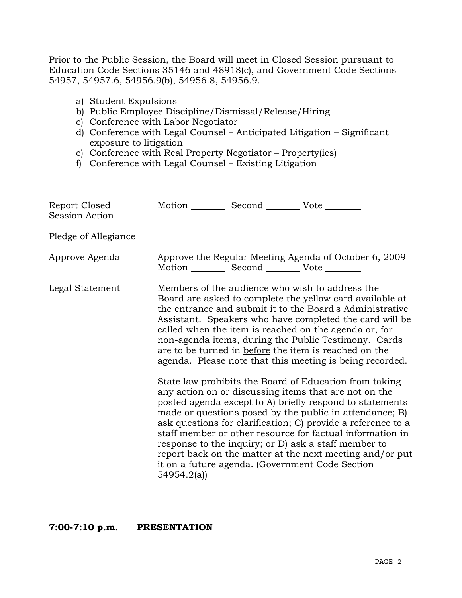Prior to the Public Session, the Board will meet in Closed Session pursuant to Education Code Sections 35146 and 48918(c), and Government Code Sections 54957, 54957.6, 54956.9(b), 54956.8, 54956.9.

- a) Student Expulsions
- b) Public Employee Discipline/Dismissal/Release/Hiring
- c) Conference with Labor Negotiator
- d) Conference with Legal Counsel Anticipated Litigation Significant exposure to litigation
- e) Conference with Real Property Negotiator Property(ies)
- f) Conference with Legal Counsel Existing Litigation

| Report Closed<br><b>Session Action</b> | Motion Second Vote                                |                                                                                                                                                                                                                                                                                                                                                                                                                                                                                                                                                                                                                                                                                                                                                                                                                                                                                                                                                                                                                        |
|----------------------------------------|---------------------------------------------------|------------------------------------------------------------------------------------------------------------------------------------------------------------------------------------------------------------------------------------------------------------------------------------------------------------------------------------------------------------------------------------------------------------------------------------------------------------------------------------------------------------------------------------------------------------------------------------------------------------------------------------------------------------------------------------------------------------------------------------------------------------------------------------------------------------------------------------------------------------------------------------------------------------------------------------------------------------------------------------------------------------------------|
| Pledge of Allegiance                   |                                                   |                                                                                                                                                                                                                                                                                                                                                                                                                                                                                                                                                                                                                                                                                                                                                                                                                                                                                                                                                                                                                        |
| Approve Agenda                         | Motion __________ Second __________ Vote ________ | Approve the Regular Meeting Agenda of October 6, 2009                                                                                                                                                                                                                                                                                                                                                                                                                                                                                                                                                                                                                                                                                                                                                                                                                                                                                                                                                                  |
| Legal Statement                        | 54954.2(a)                                        | Members of the audience who wish to address the<br>Board are asked to complete the yellow card available at<br>the entrance and submit it to the Board's Administrative<br>Assistant. Speakers who have completed the card will be<br>called when the item is reached on the agenda or, for<br>non-agenda items, during the Public Testimony. Cards<br>are to be turned in before the item is reached on the<br>agenda. Please note that this meeting is being recorded.<br>State law prohibits the Board of Education from taking<br>any action on or discussing items that are not on the<br>posted agenda except to A) briefly respond to statements<br>made or questions posed by the public in attendance; B)<br>ask questions for clarification; C) provide a reference to a<br>staff member or other resource for factual information in<br>response to the inquiry; or D) ask a staff member to<br>report back on the matter at the next meeting and/or put<br>it on a future agenda. (Government Code Section |

### **7:00-7:10 p.m. PRESENTATION**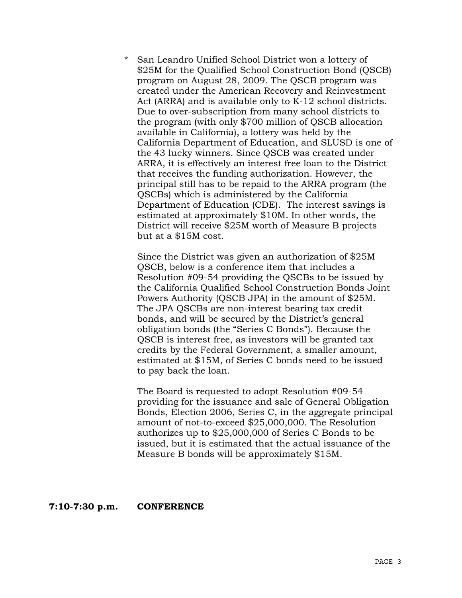\* San Leandro Unified School District won a lottery of \$25M for the Qualified School Construction Bond (QSCB) program on August 28, 2009. The QSCB program was created under the American Recovery and Reinvestment Act (ARRA) and is available only to K-12 school districts. Due to over-subscription from many school districts to the program (with only \$700 million of QSCB allocation available in California), a lottery was held by the California Department of Education, and SLUSD is one of the 43 lucky winners. Since QSCB was created under ARRA, it is effectively an interest free loan to the District that receives the funding authorization. However, the principal still has to be repaid to the ARRA program (the QSCBs) which is administered by the California Department of Education (CDE). The interest savings is estimated at approximately \$10M. In other words, the District will receive \$25M worth of Measure B projects but at a \$15M cost.

Since the District was given an authorization of \$25M QSCB, below is a conference item that includes a Resolution #09-54 providing the QSCBs to be issued by the California Qualified School Construction Bonds Joint Powers Authority (QSCB JPA) in the amount of \$25M. The JPA QSCBs are non-interest bearing tax credit bonds, and will be secured by the District's general obligation bonds (the "Series C Bonds"). Because the QSCB is interest free, as investors will be granted tax credits by the Federal Government, a smaller amount, estimated at \$15M, of Series C bonds need to be issued to pay back the loan.

The Board is requested to adopt Resolution #09-54 providing for the issuance and sale of General Obligation Bonds, Election 2006, Series C, in the aggregate principal amount of not-to-exceed \$25,000,000. The Resolution authorizes up to \$25,000,000 of Series C Bonds to be issued, but it is estimated that the actual issuance of the Measure B bonds will be approximately \$15M.

#### **7:10-7:30 p.m. CONFERENCE**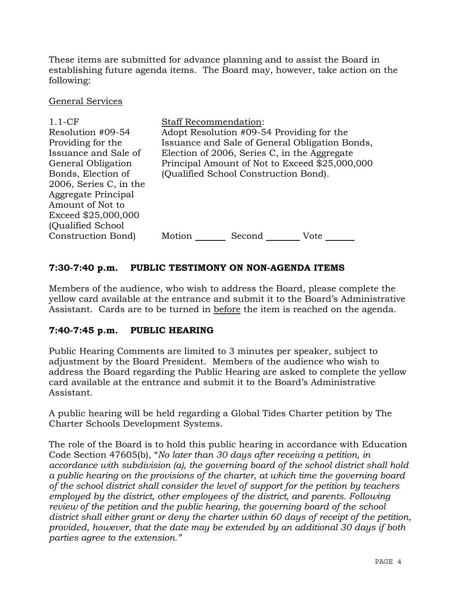These items are submitted for advance planning and to assist the Board in establishing future agenda items. The Board may, however, take action on the following:

## General Services

| $1.1-CF$<br>Resolution #09-54<br>Providing for the<br>Issuance and Sale of<br>General Obligation<br>Bonds, Election of<br>2006, Series C, in the<br>Aggregate Principal | <b>Staff Recommendation:</b> | Adopt Resolution #09-54 Providing for the<br>Election of 2006, Series C, in the Aggregate<br>(Qualified School Construction Bond). | Issuance and Sale of General Obligation Bonds,<br>Principal Amount of Not to Exceed \$25,000,000 |
|-------------------------------------------------------------------------------------------------------------------------------------------------------------------------|------------------------------|------------------------------------------------------------------------------------------------------------------------------------|--------------------------------------------------------------------------------------------------|
| Amount of Not to<br>Exceed \$25,000,000<br>(Qualified School)                                                                                                           |                              |                                                                                                                                    |                                                                                                  |
| Construction Bond)                                                                                                                                                      | Motion                       | Second                                                                                                                             | Vote                                                                                             |

# **7:30-7:40 p.m. PUBLIC TESTIMONY ON NON-AGENDA ITEMS**

Members of the audience, who wish to address the Board, please complete the yellow card available at the entrance and submit it to the Board's Administrative Assistant. Cards are to be turned in before the item is reached on the agenda.

# **7:40-7:45 p.m. PUBLIC HEARING**

Public Hearing Comments are limited to 3 minutes per speaker, subject to adjustment by the Board President. Members of the audience who wish to address the Board regarding the Public Hearing are asked to complete the yellow card available at the entrance and submit it to the Board's Administrative Assistant.

A public hearing will be held regarding a Global Tides Charter petition by The Charter Schools Development Systems.

The role of the Board is to hold this public hearing in accordance with Education Code Section 47605(b), "*No later than 30 days after receiving a petition, in accordance with subdivision (a), the governing board of the school district shall hold a public hearing on the provisions of the charter, at which time the governing board of the school district shall consider the level of support for the petition by teachers employed by the district, other employees of the district, and parents. Following review of the petition and the public hearing, the governing board of the school district shall either grant or deny the charter within 60 days of receipt of the petition, provided, however, that the date may be extended by an additional 30 days if both parties agree to the extension."*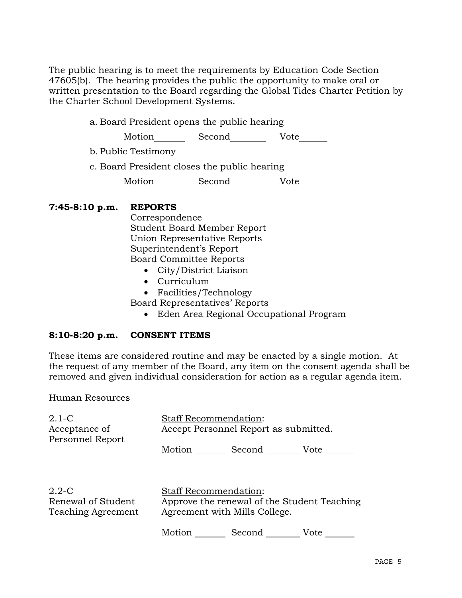The public hearing is to meet the requirements by Education Code Section 47605(b). The hearing provides the public the opportunity to make oral or written presentation to the Board regarding the Global Tides Charter Petition by the Charter School Development Systems.

a. Board President opens the public hearing

Motion Second<br>
Second<br>
Vote

- b. Public Testimony
- c. Board President closes the public hearing

Motion Second Vote

## **7:45-8:10 p.m. REPORTS**

 Correspondence Student Board Member Report Union Representative Reports Superintendent's Report Board Committee Reports

- City/District Liaison
- Curriculum
- Facilities/Technology

Board Representatives' Reports

• Eden Area Regional Occupational Program

# **8:10-8:20 p.m. CONSENT ITEMS**

These items are considered routine and may be enacted by a single motion. At the request of any member of the Board, any item on the consent agenda shall be removed and given individual consideration for action as a regular agenda item.

### Human Resources

| $2.1-C$<br>Acceptance of<br>Personnel Report          | <b>Staff Recommendation:</b><br>Accept Personnel Report as submitted.                                        |
|-------------------------------------------------------|--------------------------------------------------------------------------------------------------------------|
|                                                       | Motion Second<br>Vote                                                                                        |
| $2.2 - C$<br>Renewal of Student<br>Teaching Agreement | <b>Staff Recommendation:</b><br>Approve the renewal of the Student Teaching<br>Agreement with Mills College. |
|                                                       | Motion Second<br>Vote                                                                                        |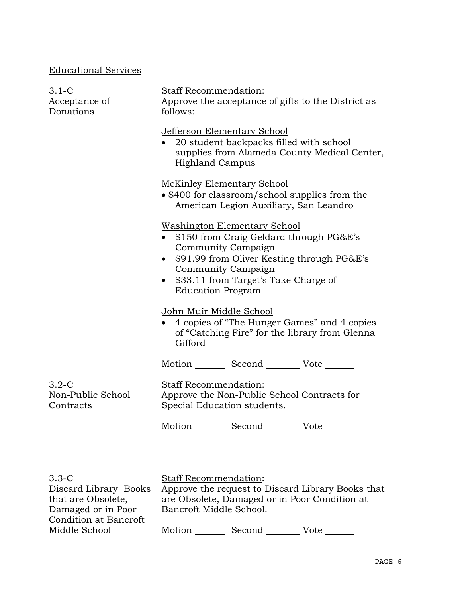# Educational Services

| $3.1-C$<br>Acceptance of<br>Donations     | Staff Recommendation:<br>Approve the acceptance of gifts to the District as<br>follows:                                                                                                                                                                       |  |  |
|-------------------------------------------|---------------------------------------------------------------------------------------------------------------------------------------------------------------------------------------------------------------------------------------------------------------|--|--|
|                                           | <b>Jefferson Elementary School</b><br>• 20 student backpacks filled with school<br>supplies from Alameda County Medical Center,<br><b>Highland Campus</b>                                                                                                     |  |  |
|                                           | McKinley Elementary School<br>• \$400 for classroom/school supplies from the<br>American Legion Auxiliary, San Leandro                                                                                                                                        |  |  |
|                                           | <b>Washington Elementary School</b><br>• \$150 from Craig Geldard through PG&E's<br>Community Campaign<br>• \$91.99 from Oliver Kesting through PG&E's<br>Community Campaign<br>\$33.11 from Target's Take Charge of<br>$\bullet$<br><b>Education Program</b> |  |  |
|                                           | John Muir Middle School<br>• 4 copies of "The Hunger Games" and 4 copies<br>of "Catching Fire" for the library from Glenna<br>Gifford                                                                                                                         |  |  |
|                                           | Motion _________ Second __________ Vote _______                                                                                                                                                                                                               |  |  |
| $3.2-C$<br>Non-Public School<br>Contracts | Staff Recommendation:<br>Approve the Non-Public School Contracts for<br>Special Education students.                                                                                                                                                           |  |  |
|                                           | Motion Second Vote                                                                                                                                                                                                                                            |  |  |
|                                           |                                                                                                                                                                                                                                                               |  |  |

| $3.3-C$               |                                               | <b>Staff Recommendation:</b>                      |      |  |
|-----------------------|-----------------------------------------------|---------------------------------------------------|------|--|
| Discard Library Books |                                               | Approve the request to Discard Library Books that |      |  |
| that are Obsolete,    | are Obsolete, Damaged or in Poor Condition at |                                                   |      |  |
| Damaged or in Poor    | Bancroft Middle School.                       |                                                   |      |  |
| Condition at Bancroft |                                               |                                                   |      |  |
| Middle School         | Motion                                        | Second                                            | Vote |  |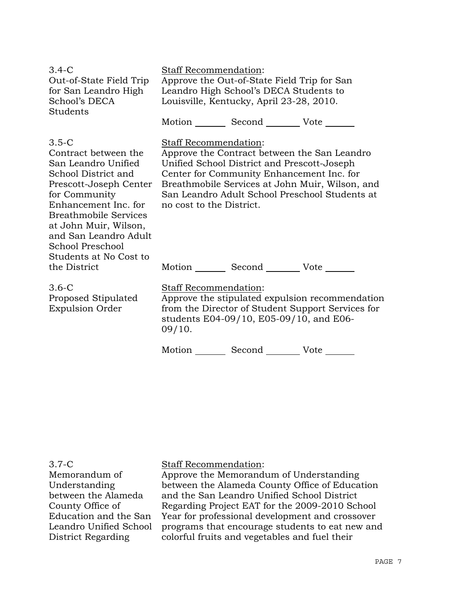| $3.4 - C$<br>Out-of-State Field Trip<br>for San Leandro High<br>School's DECA<br>Students                                                                                                                                                                                        | Staff Recommendation:<br>Approve the Out-of-State Field Trip for San<br>Leandro High School's DECA Students to<br>Louisville, Kentucky, April 23-28, 2010.                         |                                                                                          |                                                                                                                                                   |
|----------------------------------------------------------------------------------------------------------------------------------------------------------------------------------------------------------------------------------------------------------------------------------|------------------------------------------------------------------------------------------------------------------------------------------------------------------------------------|------------------------------------------------------------------------------------------|---------------------------------------------------------------------------------------------------------------------------------------------------|
|                                                                                                                                                                                                                                                                                  |                                                                                                                                                                                    | Motion _________ Second __________ Vote _______                                          |                                                                                                                                                   |
| $3.5-C$<br>Contract between the<br>San Leandro Unified<br>School District and<br>Prescott-Joseph Center<br>for Community<br>Enhancement Inc. for<br><b>Breathmobile Services</b><br>at John Muir, Wilson,<br>and San Leandro Adult<br>School Preschool<br>Students at No Cost to | Staff Recommendation:<br>no cost to the District.                                                                                                                                  | Unified School District and Prescott-Joseph<br>Center for Community Enhancement Inc. for | Approve the Contract between the San Leandro<br>Breathmobile Services at John Muir, Wilson, and<br>San Leandro Adult School Preschool Students at |
| the District                                                                                                                                                                                                                                                                     |                                                                                                                                                                                    | Motion Second Vote                                                                       |                                                                                                                                                   |
| $3.6-C$<br>Proposed Stipulated<br><b>Expulsion Order</b>                                                                                                                                                                                                                         | Staff Recommendation:<br>Approve the stipulated expulsion recommendation<br>from the Director of Student Support Services for<br>students E04-09/10, E05-09/10, and E06-<br>09/10. |                                                                                          |                                                                                                                                                   |
|                                                                                                                                                                                                                                                                                  | Motion                                                                                                                                                                             | Second                                                                                   | Vote                                                                                                                                              |

# Staff Recommendation:

Approve the Memorandum of Understanding between the Alameda County Office of Education and the San Leandro Unified School District Regarding Project EAT for the 2009-2010 School Year for professional development and crossover programs that encourage students to eat new and colorful fruits and vegetables and fuel their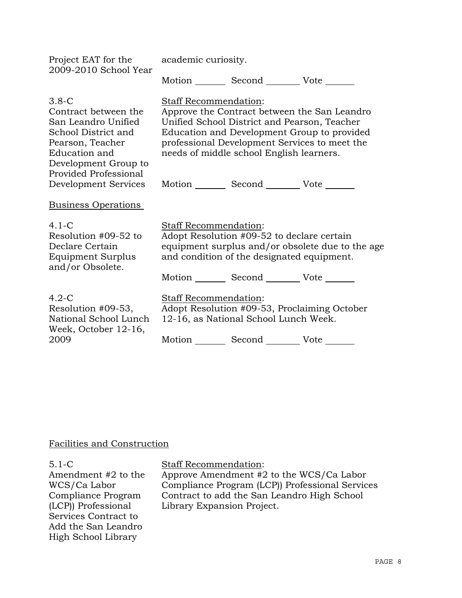| Project EAT for the<br>2009-2010 School Year                                                                                                                        | academic curiosity.          |                                                                                                                                             |                                                                                             |
|---------------------------------------------------------------------------------------------------------------------------------------------------------------------|------------------------------|---------------------------------------------------------------------------------------------------------------------------------------------|---------------------------------------------------------------------------------------------|
|                                                                                                                                                                     |                              | Motion _________ Second __________ Vote _______                                                                                             |                                                                                             |
| $3.8-C$<br>Contract between the<br>San Leandro Unified<br>School District and<br>Pearson, Teacher<br>Education and<br>Development Group to<br>Provided Professional | Staff Recommendation:        | Unified School District and Pearson, Teacher<br>professional Development Services to meet the<br>needs of middle school English learners.   | Approve the Contract between the San Leandro<br>Education and Development Group to provided |
| Development Services                                                                                                                                                |                              | Motion _________ Second __________ Vote _______                                                                                             |                                                                                             |
| <b>Business Operations</b>                                                                                                                                          |                              |                                                                                                                                             |                                                                                             |
| $4.1-C$<br>Resolution #09-52 to<br>Declare Certain<br>Equipment Surplus<br>and/or Obsolete.                                                                         | <b>Staff Recommendation:</b> | Adopt Resolution #09-52 to declare certain<br>and condition of the designated equipment.<br>Motion _________ Second __________ Vote _______ | equipment surplus and/or obsolete due to the age                                            |
| $4.2-C$<br>Resolution #09-53,<br>National School Lunch<br>Week, October 12-16,<br>2009                                                                              | Staff Recommendation:        | Adopt Resolution #09-53, Proclaiming October<br>12-16, as National School Lunch Week.<br>Motion Second Vote                                 |                                                                                             |
|                                                                                                                                                                     |                              |                                                                                                                                             |                                                                                             |

# Facilities and Construction

5.1-C Amendment #2 to the WCS/Ca Labor Compliance Program (LCP)) Professional Services Contract to Add the San Leandro High School Library

# Staff Recommendation:

Approve Amendment #2 to the WCS/Ca Labor Compliance Program (LCP)) Professional Services Contract to add the San Leandro High School Library Expansion Project.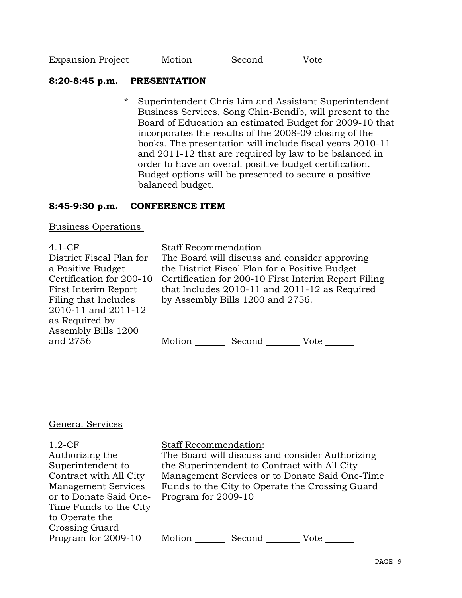| <b>Expansion Project</b> | Motion | Second | Vote |  |
|--------------------------|--------|--------|------|--|
|                          |        |        |      |  |

## **8:20-8:45 p.m. PRESENTATION**

\* Superintendent Chris Lim and Assistant Superintendent Business Services, Song Chin-Bendib, will present to the Board of Education an estimated Budget for 2009-10 that incorporates the results of the 2008-09 closing of the books. The presentation will include fiscal years 2010-11 and 2011-12 that are required by law to be balanced in order to have an overall positive budget certification. Budget options will be presented to secure a positive balanced budget.

## **8:45-9:30 p.m. CONFERENCE ITEM**

Business Operations

4.1-CF District Fiscal Plan for a Positive Budget Certification for 200-10 First Interim Report Filing that Includes 2010-11 and 2011-12 as Required by Assembly Bills 1200 and 2756

### Staff Recommendation

The Board will discuss and consider approving the District Fiscal Plan for a Positive Budget Certification for 200-10 First Interim Report Filing that Includes 2010-11 and 2011-12 as Required by Assembly Bills 1200 and 2756.

Motion \_\_\_\_\_\_\_\_\_ Second \_\_\_\_\_\_\_\_\_\_ Vote \_\_\_\_

### General Services

1.2-CF Authorizing the Superintendent to Contract with All City Management Services or to Donate Said One-Time Funds to the City to Operate the Crossing Guard Program for 2009-10 Staff Recommendation: The Board will discuss and consider Authorizing the Superintendent to Contract with All City Management Services or to Donate Said One-Time Funds to the City to Operate the Crossing Guard Program for 2009-10 Motion \_\_\_\_\_\_\_\_ Second \_\_\_\_\_\_\_\_\_ Vote \_\_\_\_\_\_\_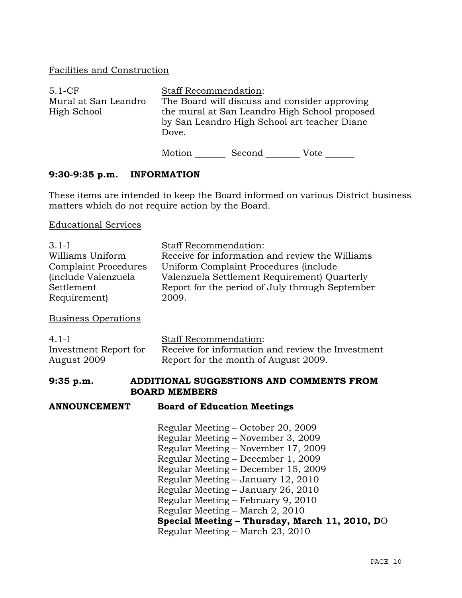# Facilities and Construction

| $5.1-CF$                            | <b>Staff Recommendation:</b> |        |                                                                                                                                                |  |
|-------------------------------------|------------------------------|--------|------------------------------------------------------------------------------------------------------------------------------------------------|--|
| Mural at San Leandro<br>High School | Dove.                        |        | The Board will discuss and consider approving<br>the mural at San Leandro High School proposed<br>by San Leandro High School art teacher Diane |  |
|                                     | Motion                       | Second | Vote                                                                                                                                           |  |

## **9:30-9:35 p.m. INFORMATION**

These items are intended to keep the Board informed on various District business matters which do not require action by the Board.

Educational Services

| $3.1-I$<br>Williams Uniform<br><b>Complaint Procedures</b><br>(include Valenzuela<br>Settlement | <b>Staff Recommendation:</b><br>Receive for information and review the Williams<br>Uniform Complaint Procedures (include<br>Valenzuela Settlement Requirement) Quarterly<br>Report for the period of July through September                                                                                                                                                                                                             |
|-------------------------------------------------------------------------------------------------|-----------------------------------------------------------------------------------------------------------------------------------------------------------------------------------------------------------------------------------------------------------------------------------------------------------------------------------------------------------------------------------------------------------------------------------------|
| Requirement)                                                                                    | 2009.                                                                                                                                                                                                                                                                                                                                                                                                                                   |
| <b>Business Operations</b>                                                                      |                                                                                                                                                                                                                                                                                                                                                                                                                                         |
| $4.1-I$<br>Investment Report for<br>August 2009                                                 | <b>Staff Recommendation:</b><br>Receive for information and review the Investment<br>Report for the month of August 2009.                                                                                                                                                                                                                                                                                                               |
| $9:35$ p.m.                                                                                     | ADDITIONAL SUGGESTIONS AND COMMENTS FROM<br><b>BOARD MEMBERS</b>                                                                                                                                                                                                                                                                                                                                                                        |
| <b>ANNOUNCEMENT</b>                                                                             | <b>Board of Education Meetings</b>                                                                                                                                                                                                                                                                                                                                                                                                      |
|                                                                                                 | Regular Meeting – October 20, 2009<br>Regular Meeting – November 3, 2009<br>Regular Meeting - November 17, 2009<br>Regular Meeting – December 1, 2009<br>Regular Meeting – December 15, 2009<br>Regular Meeting - January 12, 2010<br>Regular Meeting – January 26, 2010<br>Regular Meeting - February 9, 2010<br>Regular Meeting - March 2, 2010<br>Special Meeting - Thursday, March 11, 2010, DO<br>Regular Meeting – March 23, 2010 |